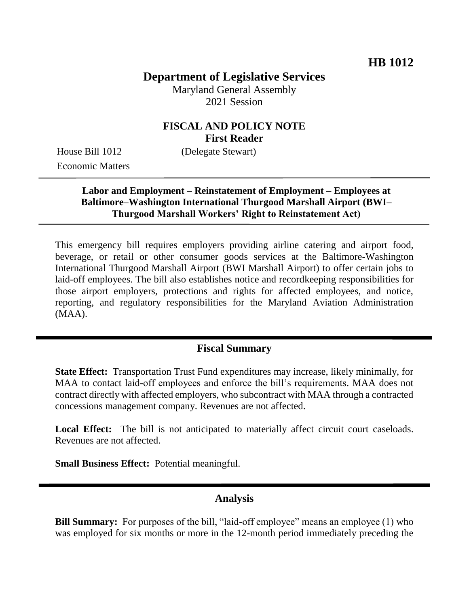# **Department of Legislative Services**

Maryland General Assembly 2021 Session

## **FISCAL AND POLICY NOTE First Reader**

House Bill 1012 (Delegate Stewart) Economic Matters

### **Labor and Employment – Reinstatement of Employment – Employees at Baltimore–Washington International Thurgood Marshall Airport (BWI– Thurgood Marshall Workers' Right to Reinstatement Act)**

This emergency bill requires employers providing airline catering and airport food, beverage, or retail or other consumer goods services at the Baltimore-Washington International Thurgood Marshall Airport (BWI Marshall Airport) to offer certain jobs to laid-off employees. The bill also establishes notice and recordkeeping responsibilities for those airport employers, protections and rights for affected employees, and notice, reporting, and regulatory responsibilities for the Maryland Aviation Administration (MAA).

## **Fiscal Summary**

**State Effect:** Transportation Trust Fund expenditures may increase, likely minimally, for MAA to contact laid-off employees and enforce the bill's requirements. MAA does not contract directly with affected employers, who subcontract with MAA through a contracted concessions management company. Revenues are not affected.

Local Effect: The bill is not anticipated to materially affect circuit court caseloads. Revenues are not affected.

**Small Business Effect:** Potential meaningful.

### **Analysis**

**Bill Summary:** For purposes of the bill, "laid-off employee" means an employee (1) who was employed for six months or more in the 12-month period immediately preceding the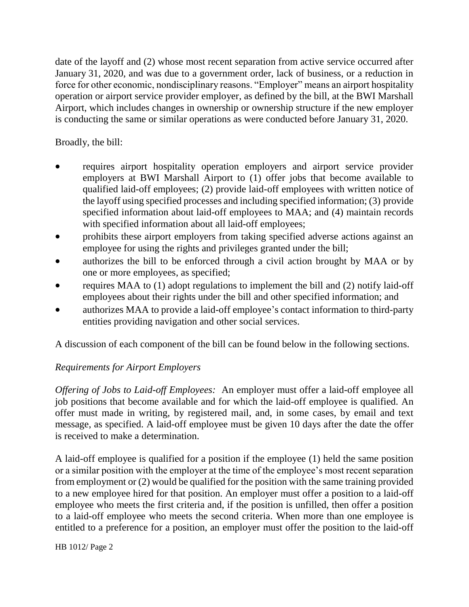date of the layoff and (2) whose most recent separation from active service occurred after January 31, 2020, and was due to a government order, lack of business, or a reduction in force for other economic, nondisciplinary reasons. "Employer" means an airport hospitality operation or airport service provider employer, as defined by the bill, at the BWI Marshall Airport, which includes changes in ownership or ownership structure if the new employer is conducting the same or similar operations as were conducted before January 31, 2020.

Broadly, the bill:

- requires airport hospitality operation employers and airport service provider employers at BWI Marshall Airport to (1) offer jobs that become available to qualified laid-off employees; (2) provide laid-off employees with written notice of the layoff using specified processes and including specified information; (3) provide specified information about laid-off employees to MAA; and (4) maintain records with specified information about all laid-off employees;
- prohibits these airport employers from taking specified adverse actions against an employee for using the rights and privileges granted under the bill;
- authorizes the bill to be enforced through a civil action brought by MAA or by one or more employees, as specified;
- requires MAA to (1) adopt regulations to implement the bill and (2) notify laid-off employees about their rights under the bill and other specified information; and
- authorizes MAA to provide a laid-off employee's contact information to third-party entities providing navigation and other social services.

A discussion of each component of the bill can be found below in the following sections.

# *Requirements for Airport Employers*

*Offering of Jobs to Laid-off Employees:* An employer must offer a laid-off employee all job positions that become available and for which the laid-off employee is qualified. An offer must made in writing, by registered mail, and, in some cases, by email and text message, as specified. A laid-off employee must be given 10 days after the date the offer is received to make a determination.

A laid-off employee is qualified for a position if the employee (1) held the same position or a similar position with the employer at the time of the employee's most recent separation from employment or (2) would be qualified for the position with the same training provided to a new employee hired for that position. An employer must offer a position to a laid-off employee who meets the first criteria and, if the position is unfilled, then offer a position to a laid-off employee who meets the second criteria. When more than one employee is entitled to a preference for a position, an employer must offer the position to the laid-off

HB 1012/ Page 2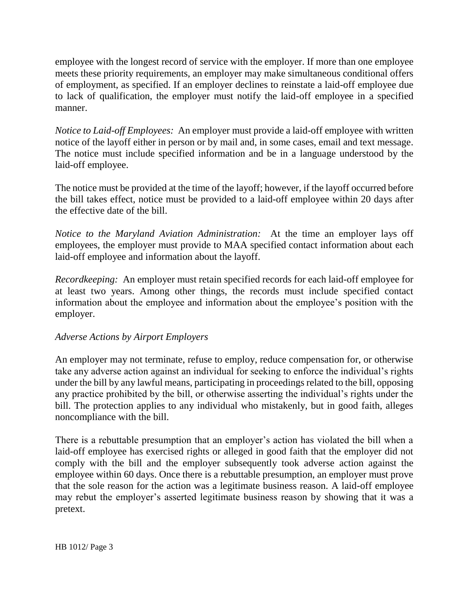employee with the longest record of service with the employer. If more than one employee meets these priority requirements, an employer may make simultaneous conditional offers of employment, as specified. If an employer declines to reinstate a laid-off employee due to lack of qualification, the employer must notify the laid-off employee in a specified manner.

*Notice to Laid-off Employees:* An employer must provide a laid-off employee with written notice of the layoff either in person or by mail and, in some cases, email and text message. The notice must include specified information and be in a language understood by the laid-off employee.

The notice must be provided at the time of the layoff; however, if the layoff occurred before the bill takes effect, notice must be provided to a laid-off employee within 20 days after the effective date of the bill.

*Notice to the Maryland Aviation Administration:* At the time an employer lays off employees, the employer must provide to MAA specified contact information about each laid-off employee and information about the layoff.

*Recordkeeping:* An employer must retain specified records for each laid-off employee for at least two years. Among other things, the records must include specified contact information about the employee and information about the employee's position with the employer.

# *Adverse Actions by Airport Employers*

An employer may not terminate, refuse to employ, reduce compensation for, or otherwise take any adverse action against an individual for seeking to enforce the individual's rights under the bill by any lawful means, participating in proceedings related to the bill, opposing any practice prohibited by the bill, or otherwise asserting the individual's rights under the bill. The protection applies to any individual who mistakenly, but in good faith, alleges noncompliance with the bill.

There is a rebuttable presumption that an employer's action has violated the bill when a laid-off employee has exercised rights or alleged in good faith that the employer did not comply with the bill and the employer subsequently took adverse action against the employee within 60 days. Once there is a rebuttable presumption, an employer must prove that the sole reason for the action was a legitimate business reason. A laid-off employee may rebut the employer's asserted legitimate business reason by showing that it was a pretext.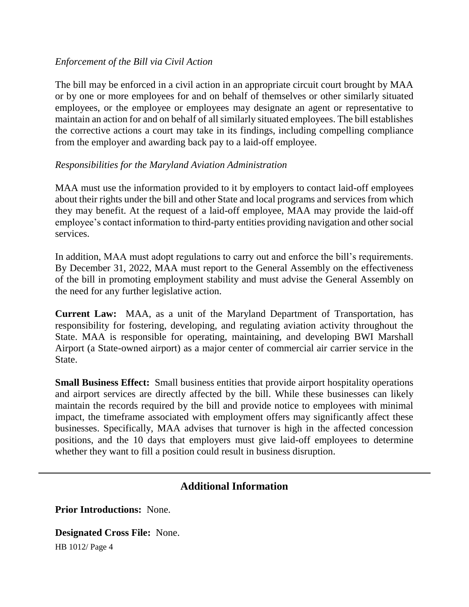### *Enforcement of the Bill via Civil Action*

The bill may be enforced in a civil action in an appropriate circuit court brought by MAA or by one or more employees for and on behalf of themselves or other similarly situated employees, or the employee or employees may designate an agent or representative to maintain an action for and on behalf of all similarly situated employees. The bill establishes the corrective actions a court may take in its findings, including compelling compliance from the employer and awarding back pay to a laid-off employee.

### *Responsibilities for the Maryland Aviation Administration*

MAA must use the information provided to it by employers to contact laid-off employees about their rights under the bill and other State and local programs and services from which they may benefit. At the request of a laid-off employee, MAA may provide the laid-off employee's contact information to third-party entities providing navigation and other social services.

In addition, MAA must adopt regulations to carry out and enforce the bill's requirements. By December 31, 2022, MAA must report to the General Assembly on the effectiveness of the bill in promoting employment stability and must advise the General Assembly on the need for any further legislative action.

**Current Law:** MAA, as a unit of the Maryland Department of Transportation, has responsibility for fostering, developing, and regulating aviation activity throughout the State. MAA is responsible for operating, maintaining, and developing BWI Marshall Airport (a State-owned airport) as a major center of commercial air carrier service in the State.

**Small Business Effect:** Small business entities that provide airport hospitality operations and airport services are directly affected by the bill. While these businesses can likely maintain the records required by the bill and provide notice to employees with minimal impact, the timeframe associated with employment offers may significantly affect these businesses. Specifically, MAA advises that turnover is high in the affected concession positions, and the 10 days that employers must give laid-off employees to determine whether they want to fill a position could result in business disruption.

# **Additional Information**

**Prior Introductions:** None.

**Designated Cross File:** None.

HB 1012/ Page 4